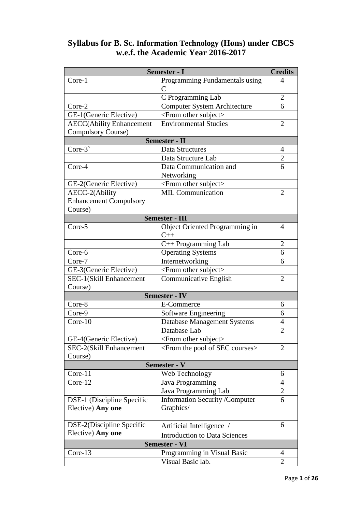| Semester - I                    |                                                      | <b>Credits</b> |
|---------------------------------|------------------------------------------------------|----------------|
| Core-1                          | Programming Fundamentals using                       | 4              |
|                                 | $\overline{C}$                                       |                |
|                                 | C Programming Lab                                    | $\overline{2}$ |
| Core-2                          | <b>Computer System Architecture</b>                  | 6              |
| GE-1(Generic Elective)          | <from other="" subject=""></from>                    |                |
| <b>AECC(Ability Enhancement</b> | <b>Environmental Studies</b>                         | $\overline{2}$ |
| <b>Compulsory Course)</b>       |                                                      |                |
|                                 | Semester - II                                        |                |
| Core-3`                         | Data Structures                                      | $\overline{4}$ |
|                                 | Data Structure Lab                                   | $\overline{2}$ |
| Core-4                          | Data Communication and                               | 6              |
|                                 | Networking                                           |                |
| GE-2(Generic Elective)          | <from other="" subject=""></from>                    |                |
| AECC-2(Ability                  | <b>MIL Communication</b>                             | $\overline{2}$ |
| <b>Enhancement Compulsory</b>   |                                                      |                |
| Course)                         |                                                      |                |
|                                 | <b>Semester - III</b>                                |                |
| Core-5                          | Object Oriented Programming in                       | $\overline{4}$ |
|                                 | $C++$                                                |                |
|                                 | C++ Programming Lab                                  | $\overline{2}$ |
| Core-6                          | <b>Operating Systems</b>                             | 6              |
| Core-7                          | Internetworking                                      | 6              |
| GE-3(Generic Elective)          | <from other="" subject=""></from>                    |                |
| SEC-1(Skill Enhancement         | <b>Communicative English</b>                         | $\overline{2}$ |
| Course)                         |                                                      |                |
|                                 | <b>Semester - IV</b>                                 |                |
| Core-8                          | E-Commerce                                           | 6              |
| Core-9                          | <b>Software Engineering</b>                          | 6              |
| Core-10                         | <b>Database Management Systems</b>                   | $\overline{4}$ |
|                                 | Database Lab                                         | $\overline{2}$ |
| GE-4(Generic Elective)          | <from other="" subject=""></from>                    |                |
| SEC-2(Skill Enhancement         | <from courses="" of="" pool="" sec="" the=""></from> | 2              |
| Course)                         |                                                      |                |
|                                 | <b>Semester - V</b>                                  |                |
| Core-11                         | Web Technology                                       | 6              |
| Core-12                         | Java Programming                                     | 4              |
|                                 | Java Programming Lab                                 | 2              |
| DSE-1 (Discipline Specific      | <b>Information Security /Computer</b>                | 6              |
| Elective) Any one               | Graphics/                                            |                |
|                                 |                                                      |                |
| DSE-2(Discipline Specific       | Artificial Intelligence /                            | 6              |
| Elective) Any one               | <b>Introduction to Data Sciences</b>                 |                |
| <b>Semester - VI</b>            |                                                      |                |
| Core-13                         | Programming in Visual Basic                          | 4              |
|                                 | Visual Basic lab.                                    | $\overline{2}$ |
|                                 |                                                      |                |

# **Syllabus for B. Sc. Information Technology (Hons) under CBCS w.e.f. the Academic Year 2016-2017**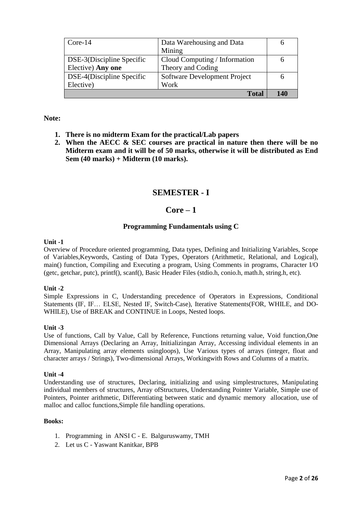| $Core-14$                 | Data Warehousing and Data     |     |
|---------------------------|-------------------------------|-----|
|                           | Mining                        |     |
| DSE-3(Discipline Specific | Cloud Computing / Information |     |
| Elective) Any one         | Theory and Coding             |     |
| DSE-4(Discipline Specific | Software Development Project  |     |
| Elective)                 | Work                          |     |
|                           | <b>Total</b>                  | 140 |

## **Note:**

- **1. There is no midterm Exam for the practical/Lab papers**
- **2. When the AECC & SEC courses are practical in nature then there will be no Midterm exam and it will be of 50 marks, otherwise it will be distributed as End Sem (40 marks) + Midterm (10 marks).**

## **SEMESTER - I**

## **Core – 1**

### **Programming Fundamentals using C**

#### **Unit -1**

Overview of Procedure oriented programming, Data types, Defining and Initializing Variables, Scope of Variables,Keywords, Casting of Data Types, Operators (Arithmetic, Relational, and Logical), main() function, Compiling and Executing a program, Using Comments in programs, Character I/O (getc, getchar, putc), printf(), scanf(), Basic Header Files (stdio.h, conio.h, math.h, string.h, etc).

### **Unit -2**

Simple Expressions in C, Understanding precedence of Operators in Expressions, Conditional Statements (IF, IF… ELSE, Nested IF, Switch-Case), Iterative Statements(FOR, WHILE, and DO-WHILE), Use of BREAK and CONTINUE in Loops, Nested loops.

#### **Unit -3**

Use of functions, Call by Value, Call by Reference, Functions returning value, Void function,One Dimensional Arrays (Declaring an Array, Initializingan Array, Accessing individual elements in an Array, Manipulating array elements usingloops), Use Various types of arrays (integer, float and character arrays / Strings), Two-dimensional Arrays, Workingwith Rows and Columns of a matrix.

#### **Unit -4**

Understanding use of structures, Declaring, initializing and using simplestructures, Manipulating individual members of structures, Array ofStructures, Understanding Pointer Variable, Simple use of Pointers, Pointer arithmetic, Differentiating between static and dynamic memory allocation, use of malloc and calloc functions,Simple file handling operations.

- 1. Programming in ANSI C E. Balguruswamy, TMH
- 2. Let us C Yaswant Kanitkar, BPB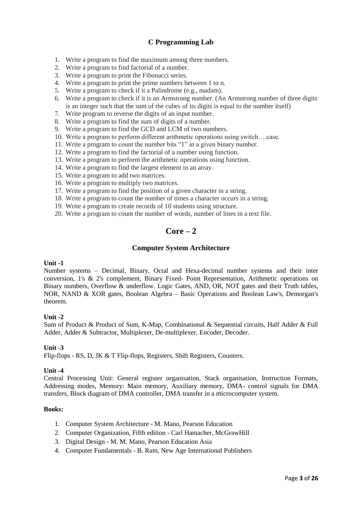## **C Programming Lab**

- 1. Write a program to find the maximum among three numbers.
- 2. Write a program to find factorial of a number.
- 3. Write a program to print the Fibonacci series.
- 4. Write a program to print the prime numbers between 1 to n.
- 5. Write a program to check if it a Palindrome (e.g., madam).
- 6. Write a program to check if it is an Armstrong number. (An Armstrong number of three digits is an integer such that the sum of the cubes of its digits is equal to the number itself)
- 7. Write program to reverse the digits of an input number.
- 8. Write a program to find the sum of digits of a number.
- 9. Write a program to find the GCD and LCM of two numbers.
- 10. Write a program to perform different arithmetic operations using switch….case.
- 11. Write a program to count the number bits "1" in a given binary number.
- 12. Write a program to find the factorial of a number using function.
- 13. Write a program to perform the arithmetic operations using function.
- 14. Write a program to find the largest element in an array.
- 15. Write a program to add two matrices.
- 16. Write a program to multiply two matrices.
- 17. Write a program to find the position of a given character in a string.
- 18. Write a program to count the number of times a character occurs in a string.
- 19. Write a program to create records of 10 students using structure.
- 20. Write a program to count the number of words, number of lines in a text file.

# **Core – 2**

### **Computer System Architecture**

#### **Unit -1**

Number systems – Decimal, Binary, Octal and Hexa-decimal number systems and their inter conversion, 1's & 2's complement, Binary Fixed- Point Representation, Arithmetic operations on Binary numbers, Overflow & underflow. Logic Gates, AND, OR, NOT gates and their Truth tables, NOR, NAND & XOR gates, Boolean Algebra – Basic Operations and Boolean Law's, Demorgan's theorem.

### **Unit -2**

Sum of Product & Product of Sum, K-Map, Combinational & Sequential circuits, Half Adder & Full Adder, Adder & Subtractor, Multiplexer, De-multiplexer, Encoder, Decoder.

### **Unit -3**

Flip-flops - RS, D, JK & T Flip-flops, Registers, Shift Registers, Counters.

#### **Unit -4**

Central Processing Unit: General register organisation, Stack organisation, Instruction Formats, Addressing modes, Memory: Main memory, Auxiliary memory, DMA- control signals for DMA transfers, Block diagram of DMA controller, DMA transfer in a microcomputer system.

- 1. Computer System Architecture M. Mano, Pearson Education
- 2. Computer Organization, Fifth edition Carl Hamacher, McGrawHill
- 3. Digital Design M. M. Mano, Pearson Education Asia
- 4. Computer Fundamentals B. Ram, New Age International Publishers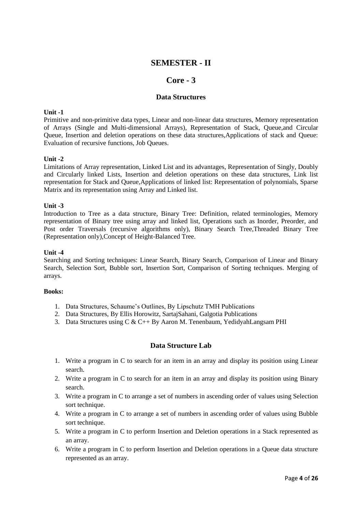# **SEMESTER - II**

# **Core - 3**

### **Data Structures**

### **Unit -1**

Primitive and non-primitive data types, Linear and non-linear data structures, Memory representation of Arrays (Single and Multi-dimensional Arrays), Representation of Stack, Queue,and Circular Queue, Insertion and deletion operations on these data structures,Applications of stack and Queue: Evaluation of recursive functions, Job Queues.

### **Unit -2**

Limitations of Array representation, Linked List and its advantages, Representation of Singly, Doubly and Circularly linked Lists, Insertion and deletion operations on these data structures, Link list representation for Stack and Queue,Applications of linked list: Representation of polynomials, Sparse Matrix and its representation using Array and Linked list.

#### **Unit -3**

Introduction to Tree as a data structure, Binary Tree: Definition, related terminologies, Memory representation of Binary tree using array and linked list, Operations such as Inorder, Preorder, and Post order Traversals (recursive algorithms only), Binary Search Tree,Threaded Binary Tree (Representation only),Concept of Height-Balanced Tree.

#### **Unit -4**

Searching and Sorting techniques: Linear Search, Binary Search, Comparison of Linear and Binary Search, Selection Sort, Bubble sort, Insertion Sort, Comparison of Sorting techniques. Merging of arrays.

### **Books:**

- 1. Data Structures, Schaume's Outlines, By Lipschutz TMH Publications
- 2. Data Structures, By Ellis Horowitz, SartajSahani, Galgotia Publications
- 3. Data Structures using C & C++ By Aaron M. Tenenbaum, YedidyahLangsam PHI

### **Data Structure Lab**

- 1. Write a program in C to search for an item in an array and display its position using Linear search.
- 2. Write a program in C to search for an item in an array and display its position using Binary search.
- 3. Write a program in C to arrange a set of numbers in ascending order of values using Selection sort technique.
- 4. Write a program in C to arrange a set of numbers in ascending order of values using Bubble sort technique.
- 5. Write a program in C to perform Insertion and Deletion operations in a Stack represented as an array.
- 6. Write a program in C to perform Insertion and Deletion operations in a Queue data structure represented as an array.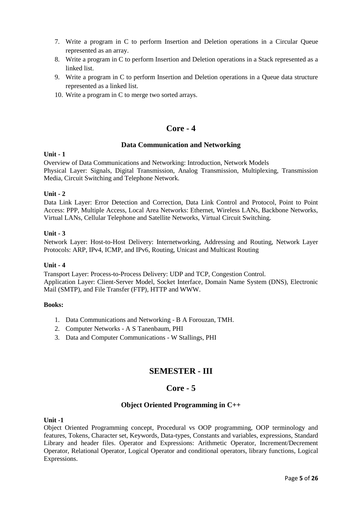- 7. Write a program in C to perform Insertion and Deletion operations in a Circular Queue represented as an array.
- 8. Write a program in C to perform Insertion and Deletion operations in a Stack represented as a linked list.
- 9. Write a program in C to perform Insertion and Deletion operations in a Queue data structure represented as a linked list.
- 10. Write a program in C to merge two sorted arrays.

# **Core - 4**

## **Data Communication and Networking**

### **Unit - 1**

Overview of Data Communications and Networking: Introduction, Network Models Physical Layer: Signals, Digital Transmission, Analog Transmission, Multiplexing, Transmission Media, Circuit Switching and Telephone Network.

### **Unit - 2**

Data Link Layer: Error Detection and Correction, Data Link Control and Protocol, Point to Point Access: PPP, Multiple Access, Local Area Networks: Ethernet, Wireless LANs, Backbone Networks, Virtual LANs, Cellular Telephone and Satellite Networks, Virtual Circuit Switching.

## **Unit - 3**

Network Layer: Host-to-Host Delivery: Internetworking, Addressing and Routing, Network Layer Protocols: ARP, IPv4, ICMP, and IPv6, Routing, Unicast and Multicast Routing

### **Unit - 4**

Transport Layer: Process-to-Process Delivery: UDP and TCP, Congestion Control. Application Layer: Client-Server Model, Socket Interface, Domain Name System (DNS), Electronic Mail (SMTP), and File Transfer (FTP), HTTP and WWW.

### **Books:**

- 1. Data Communications and Networking B A Forouzan, TMH.
- 2. Computer Networks A S Tanenbaum, PHI
- 3. Data and Computer Communications W Stallings, PHI

# **SEMESTER - III**

# **Core - 5**

## **Object Oriented Programming in C++**

### **Unit -1**

Object Oriented Programming concept, Procedural vs OOP programming, OOP terminology and features, Tokens, Character set, Keywords, Data-types, Constants and variables, expressions, Standard Library and header files. Operator and Expressions: Arithmetic Operator, Increment/Decrement Operator, Relational Operator, Logical Operator and conditional operators, library functions, Logical Expressions.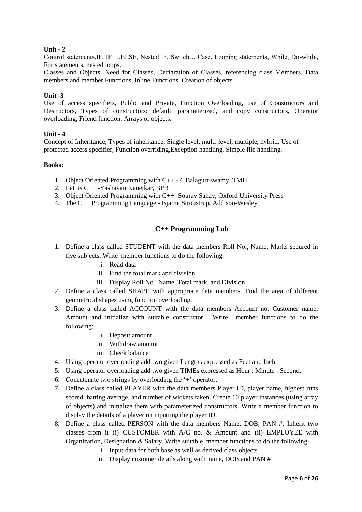## **Unit - 2**

Control statements,IF, IF …ELSE, Nested IF, Switch….Case, Looping statements, While, Do-while, For statements, nested loops.

Classes and Objects: Need for Classes, Declaration of Classes, referencing class Members, Data members and member Functions, Inline Functions, Creation of objects

### **Unit -3**

Use of access specifiers, Public and Private, Function Overloading, use of Constructors and Destructors, Types of constructors: default, parameterized, and copy constructors, Operator overloading, Friend function, Arrays of objects.

## **Unit - 4**

Concept of Inheritance, Types of inheritance: Single level, multi-level, multiple, hybrid, Use of protected access specifier, Function overriding,Exception handling, Simple file handling.

### **Books:**

- 1. Object Oriented Programming with C++ -E. Balaguruswamy, TMH
- 2. Let us C++ -YashavantKanetkar, BPB
- 3. Object Oriented Programming with C++ -Sourav Sahay, Oxford University Press
- 4. The C++ Programming Language Bjarne Stroustrup, Addison-Wesley

## **C++ Programming Lab**

- 1. Define a class called STUDENT with the data members Roll No., Name, Marks secured in five subjects. Write member functions to do the following:
	- i. Read data
	- ii. Find the total mark and division
	- iii. Display Roll No., Name, Total mark, and Division
- 2. Define a class called SHAPE with appropriate data members. Find the area of different geometrical shapes using function overloading.
- 3. Define a class called ACCOUNT with the data members Account no. Customer name, Amount and initialize with suitable constructor. Write member functions to do the following:
	- i. Deposit amount
	- ii. Withdraw amount
	- iii. Check balance
- 4. Using operator overloading add two given Lengths expressed as Feet and Inch.
- 5. Using operator overloading add two given TIMEs expressed as Hour : Minute : Second.
- 6. Concatenate two strings by overloading the  $+$  operator.
- 7. Define a class called PLAYER with the data members Player ID, player name, highest runs scored, batting average, and number of wickets taken. Create 10 player instances (using array of objects) and initialize them with parameterized constructors. Write a member function to display the details of a player on inputting the player ID.
- 8. Define a class called PERSON with the data members Name, DOB, PAN #. Inherit two classes from it (i) CUSTOMER with A/C no. & Amount and (ii) EMPLOYEE with Organization, Designation & Salary. Write suitable member functions to do the following:
	- i. Input data for both base as well as derived class objects
	- ii. Display customer details along with name, DOB and PAN #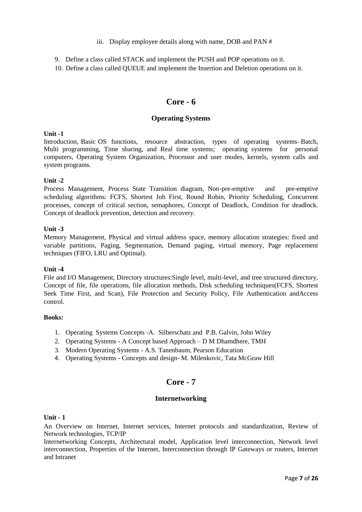- iii. Display employee details along with name, DOB and PAN #
- 9. Define a class called STACK and implement the PUSH and POP operations on it.
- 10. Define a class called QUEUE and implement the Insertion and Deletion operations on it.

# **Core - 6**

## **Operating Systems**

### **Unit -1**

Introduction, Basic OS functions, resource abstraction, types of operating systems–Batch, Multi programming, Time sharing, and Real time systems; operating systems for personal computers, Operating System Organization, Processor and user modes, kernels, system calls and system programs.

## **Unit -2**

Process Management, Process State Transition diagram, Non-pre-emptive and pre-emptive scheduling algorithms: FCFS, Shortest Job First, Round Robin, Priority Scheduling, Concurrent processes, concept of critical section, semaphores, Concept of Deadlock, Condition for deadlock. Concept of deadlock prevention, detection and recovery.

## **Unit -3**

Memory Management, Physical and virtual address space, memory allocation strategies: fixed and variable partitions, Paging, Segmentation, Demand paging, virtual memory, Page replacement techniques (FIFO, LRU and Optimal).

### **Unit -4**

File and I/O Management, Directory structures: Single level, multi-level, and tree structured directory, Concept of file, file operations, file allocation methods, Disk scheduling techniques(FCFS, Shortest Seek Time First, and Scan), File Protection and Security Policy, File Authentication andAccess control.

### **Books:**

- 1. Operating Systems Concepts -A. Silberschatz and P.B. Galvin, John Wiley
- 2. Operating Systems A Concept based Approach D M Dhamdhere, TMH
- 3. Modern Operating Systems A.S. Tanenbaum, Pearson Education
- 4. Operating Systems Concepts and design- M. Milenkovic, Tata McGraw Hill

# **Core - 7**

## **Internetworking**

### **Unit - 1**

An Overview on Internet, Internet services, Internet protocols and standardization, Review of Network technologies, TCP/IP

Internetworking Concepts, Architectural model, Application level interconnection, Network level interconnection, Properties of the Internet, Interconnection through IP Gateways or routers, Internet and Intranet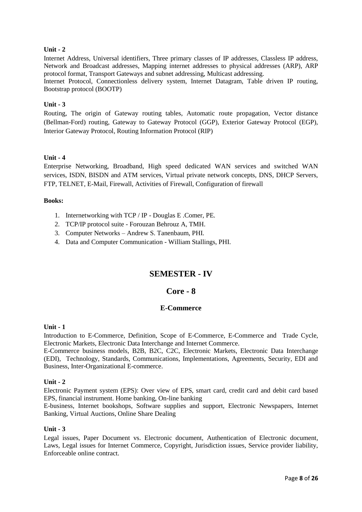## **Unit - 2**

Internet Address, Universal identifiers, Three primary classes of IP addresses, Classless IP address, Network and Broadcast addresses, Mapping internet addresses to physical addresses (ARP), ARP protocol format, Transport Gateways and subnet addressing, Multicast addressing.

Internet Protocol, Connectionless delivery system, Internet Datagram, Table driven IP routing, Bootstrap protocol (BOOTP)

### **Unit - 3**

Routing, The origin of Gateway routing tables, Automatic route propagation, Vector distance (Bellman-Ford) routing, Gateway to Gateway Protocol (GGP), Exterior Gateway Protocol (EGP), Interior Gateway Protocol, Routing Information Protocol (RIP)

### **Unit - 4**

Enterprise Networking, Broadband, High speed dedicated WAN services and switched WAN services, ISDN, BISDN and ATM services, Virtual private network concepts, DNS, DHCP Servers, FTP, TELNET, E-Mail, Firewall, Activities of Firewall, Configuration of firewall

#### **Books:**

- 1. Internetworking with TCP / IP Douglas E .Comer, PE.
- 2. TCP/IP protocol suite Forouzan Behrouz A, TMH.
- 3. Computer Networks Andrew S. Tanenbaum, PHI.
- 4. Data and Computer Communication William Stallings, PHI.

# **SEMESTER - IV**

## **Core - 8**

### **E-Commerce**

### **Unit - 1**

Introduction to E-Commerce, Definition, Scope of E-Commerce, E-Commerce and Trade Cycle, Electronic Markets, Electronic Data Interchange and Internet Commerce.

E-Commerce business models, B2B, B2C, C2C, Electronic Markets, Electronic Data Interchange (EDI), Technology, Standards, Communications, Implementations, Agreements, Security, EDI and Business, Inter-Organizational E-commerce.

### **Unit - 2**

Electronic Payment system (EPS): Over view of EPS, smart card, credit card and debit card based EPS, financial instrument. Home banking, On-line banking

E-business, Internet bookshops, Software supplies and support, Electronic Newspapers, Internet Banking, Virtual Auctions, Online Share Dealing

### **Unit - 3**

Legal issues, Paper Document vs. Electronic document, Authentication of Electronic document, Laws, Legal issues for Internet Commerce, Copyright, Jurisdiction issues, Service provider liability, Enforceable online contract.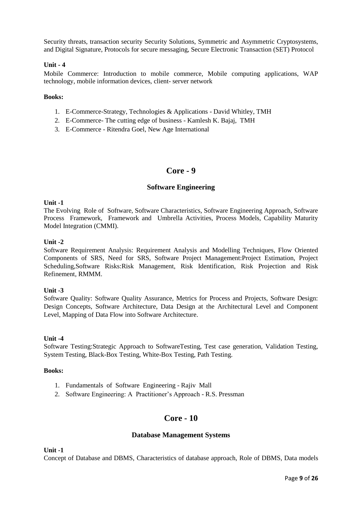Security threats, transaction security Security Solutions, Symmetric and Asymmetric Cryptosystems, and Digital Signature, Protocols for secure messaging, Secure Electronic Transaction (SET) Protocol

### **Unit - 4**

Mobile Commerce: Introduction to mobile commerce, Mobile computing applications, WAP technology, mobile information devices, client- server network

### **Books:**

- 1. E-Commerce-Strategy, Technologies & Applications David Whitley, TMH
- 2. E-Commerce- The cutting edge of business Kamlesh K. Bajaj, TMH
- 3. E-Commerce Ritendra Goel, New Age International

# **Core - 9**

## **Software Engineering**

### **Unit -1**

The Evolving Role of Software, Software Characteristics, Software Engineering Approach, Software Process Framework, Framework and Umbrella Activities, Process Models, Capability Maturity Model Integration (CMMI).

### **Unit -2**

Software Requirement Analysis: Requirement Analysis and Modelling Techniques, Flow Oriented Components of SRS, Need for SRS, Software Project Management:Project Estimation, Project Scheduling,Software Risks:Risk Management, Risk Identification, Risk Projection and Risk Refinement, RMMM.

### **Unit -3**

Software Quality: Software Quality Assurance, Metrics for Process and Projects, Software Design: Design Concepts, Software Architecture, Data Design at the Architectural Level and Component Level, Mapping of Data Flow into Software Architecture.

### **Unit -4**

Software Testing:Strategic Approach to SoftwareTesting, Test case generation, Validation Testing, System Testing, Black-Box Testing, White-Box Testing, Path Testing.

### **Books:**

- 1. Fundamentals of Software Engineering Rajiv Mall
- 2. Software Engineering: A Practitioner's Approach R.S. Pressman

# **Core - 10**

### **Database Management Systems**

**Unit -1**

Concept of Database and DBMS, Characteristics of database approach, Role of DBMS, Data models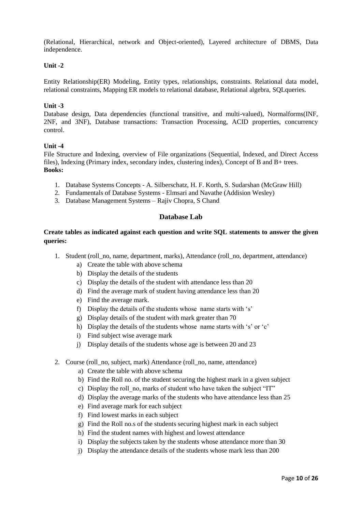(Relational, Hierarchical, network and Object-oriented), Layered architecture of DBMS, Data independence.

## **Unit -2**

Entity Relationship(ER) Modeling, Entity types, relationships, constraints. Relational data model, relational constraints, Mapping ER models to relational database, Relational algebra, SQLqueries.

### **Unit -3**

Database design, Data dependencies (functional transitive, and multi-valued), Normalforms(INF, 2NF, and 3NF), Database transactions: Transaction Processing, ACID properties, concurrency control.

## **Unit -4**

File Structure and Indexing, overview of File organizations (Sequential, Indexed, and Direct Access files), Indexing (Primary index, secondary index, clustering index), Concept of B and B+ trees. **Books:**

- 1. Database Systems Concepts A. Silberschatz, H. F. Korth, S. Sudarshan (McGraw Hill)
- 2. Fundamentals of Database Systems Elmsari and Navathe (Addision Wesley)
- 3. Database Management Systems Rajiv Chopra, S Chand

## **Database Lab**

## **Create tables as indicated against each question and write SQL statements to answer the given queries:**

- 1. Student (roll\_no, name, department, marks), Attendance (roll\_no, department, attendance)
	- a) Create the table with above schema
	- b) Display the details of the students
	- c) Display the details of the student with attendance less than 20
	- d) Find the average mark of student having attendance less than 20
	- e) Find the average mark.
	- f) Display the details of the students whose name starts with 's'
	- g) Display details of the student with mark greater than 70
	- h) Display the details of the students whose name starts with 's' or 'c'
	- i) Find subject wise average mark
	- j) Display details of the students whose age is between 20 and 23
- 2. Course (roll\_no, subject, mark) Attendance (roll\_no, name, attendance)
	- a) Create the table with above schema
	- b) Find the Roll no. of the student securing the highest mark in a given subject
	- c) Display the roll no, marks of student who have taken the subject "IT"
	- d) Display the average marks of the students who have attendance less than 25
	- e) Find average mark for each subject
	- f) Find lowest marks in each subject
	- g) Find the Roll no.s of the students securing highest mark in each subject
	- h) Find the student names with highest and lowest attendance
	- i) Display the subjects taken by the students whose attendance more than 30
	- j) Display the attendance details of the students whose mark less than 200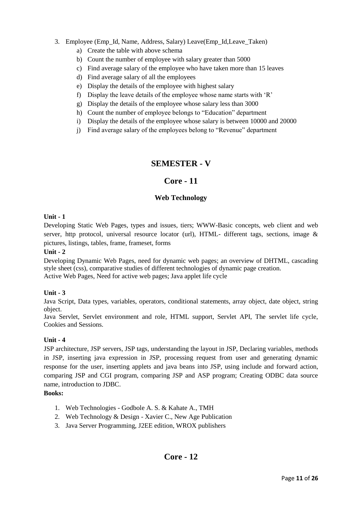## 3. Employee (Emp\_Id, Name, Address, Salary) Leave(Emp\_Id,Leave\_Taken)

- a) Create the table with above schema
- b) Count the number of employee with salary greater than 5000
- c) Find average salary of the employee who have taken more than 15 leaves
- d) Find average salary of all the employees
- e) Display the details of the employee with highest salary
- f) Display the leave details of the employee whose name starts with ‗R'
- g) Display the details of the employee whose salary less than 3000
- h) Count the number of employee belongs to "Education" department
- i) Display the details of the employee whose salary is between 10000 and 20000
- j) Find average salary of the employees belong to "Revenue" department

# **SEMESTER - V**

# **Core - 11**

## **Web Technology**

## **Unit - 1**

Developing Static Web Pages, types and issues, tiers; WWW-Basic concepts, web client and web server, http protocol, universal resource locator (url), HTML- different tags, sections, image & pictures, listings, tables, frame, frameset, forms

## **Unit - 2**

Developing Dynamic Web Pages, need for dynamic web pages; an overview of DHTML, cascading style sheet (css), comparative studies of different technologies of dynamic page creation. Active Web Pages, Need for active web pages; Java applet life cycle

## **Unit - 3**

Java Script, Data types, variables, operators, conditional statements, array object, date object, string object.

Java Servlet, Servlet environment and role, HTML support, Servlet API, The servlet life cycle, Cookies and Sessions.

## **Unit - 4**

JSP architecture, JSP servers, JSP tags, understanding the layout in JSP, Declaring variables, methods in JSP, inserting java expression in JSP, processing request from user and generating dynamic response for the user, inserting applets and java beans into JSP, using include and forward action, comparing JSP and CGI program, comparing JSP and ASP program; Creating ODBC data source name, introduction to JDBC.

- 1. Web Technologies Godbole A. S. & Kahate A., TMH
- 2. Web Technology & Design Xavier C., New Age Publication
- 3. Java Server Programming, J2EE edition, WROX publishers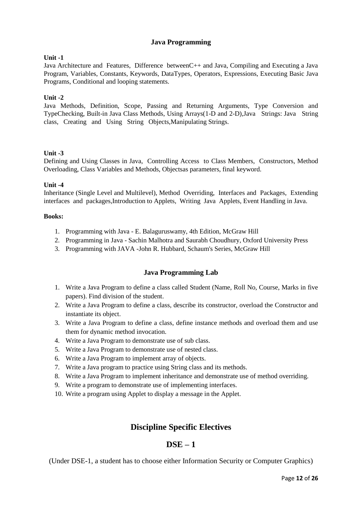## **Java Programming**

## **Unit -1**

Java Architecture and Features, Difference betweenC++ and Java, Compiling and Executing a Java Program, Variables, Constants, Keywords, DataTypes, Operators, Expressions, Executing Basic Java Programs, Conditional and looping statements.

## **Unit -2**

Java Methods, Definition, Scope, Passing and Returning Arguments, Type Conversion and TypeChecking, Built-in Java Class Methods, Using Arrays(1-D and 2-D),Java Strings: Java String class, Creating and Using String Objects,Manipulating Strings.

## **Unit -3**

Defining and Using Classes in Java, Controlling Access to Class Members, Constructors, Method Overloading, Class Variables and Methods, Objectsas parameters, final keyword.

## **Unit -4**

Inheritance (Single Level and Multilevel), Method Overriding, Interfaces and Packages, Extending interfaces and packages,Introduction to Applets, Writing Java Applets, Event Handling in Java.

### **Books:**

- 1. Programming with Java E. Balaguruswamy, 4th Edition, McGraw Hill
- 2. Programming in Java Sachin Malhotra and Saurabh Choudhury, Oxford University Press
- 3. Programming with JAVA -John R. Hubbard, Schaum's Series, McGraw Hill

## **Java Programming Lab**

- 1. Write a Java Program to define a class called Student (Name, Roll No, Course, Marks in five papers). Find division of the student.
- 2. Write a Java Program to define a class, describe its constructor, overload the Constructor and instantiate its object.
- 3. Write a Java Program to define a class, define instance methods and overload them and use them for dynamic method invocation.
- 4. Write a Java Program to demonstrate use of sub class.
- 5. Write a Java Program to demonstrate use of nested class.
- 6. Write a Java Program to implement array of objects.
- 7. Write a Java program to practice using String class and its methods.
- 8. Write a Java Program to implement inheritance and demonstrate use of method overriding.
- 9. Write a program to demonstrate use of implementing interfaces.
- 10. Write a program using Applet to display a message in the Applet.

# **Discipline Specific Electives**

# **DSE – 1**

(Under DSE-1, a student has to choose either Information Security or Computer Graphics)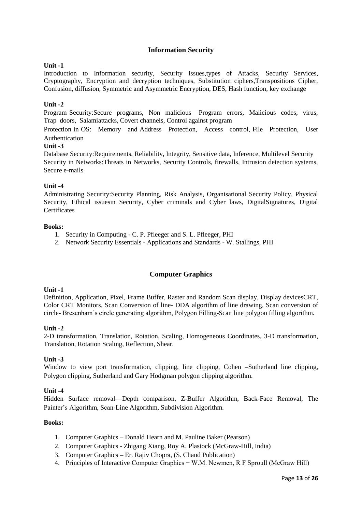## **Information Security**

## **Unit -1**

Introduction to Information security, Security issues,types of Attacks, Security Services, Cryptography, Encryption and decryption techniques, Substitution ciphers,Transpositions Cipher, Confusion, diffusion, Symmetric and Asymmetric Encryption, DES, Hash function, key exchange

## **Unit -2**

Program Security:Secure programs, Non malicious Program errors, Malicious codes, virus, Trap doors, Salamiattacks, Covert channels, Control against program

Protection in OS: Memory and Address Protection, Access control, File Protection, User Authentication

### **Unit -3**

Database Security:Requirements, Reliability, Integrity, Sensitive data, Inference, Multilevel Security Security in Networks:Threats in Networks, Security Controls, firewalls, Intrusion detection systems, Secure e-mails

### **Unit -4**

Administrating Security:Security Planning, Risk Analysis, Organisational Security Policy, Physical Security, Ethical issuesin Security, Cyber criminals and Cyber laws, DigitalSignatures, Digital **Certificates** 

### **Books:**

- 1. Security in Computing C. P. Pfleeger and S. L. Pfleeger, PHI
- 2. Network Security Essentials Applications and Standards W. Stallings, PHI

## **Computer Graphics**

### **Unit -1**

Definition, Application, Pixel, Frame Buffer, Raster and Random Scan display, Display devicesCRT, Color CRT Monitors, Scan Conversion of line- DDA algorithm of line drawing, Scan conversion of circle- Bresenham's circle generating algorithm, Polygon Filling-Scan line polygon filling algorithm.

### **Unit -2**

2-D transformation, Translation, Rotation, Scaling, Homogeneous Coordinates, 3-D transformation, Translation, Rotation Scaling, Reflection, Shear.

### **Unit -3**

Window to view port transformation, clipping, line clipping, Cohen –Sutherland line clipping, Polygon clipping, Sutherland and Gary Hodgman polygon clipping algorithm.

### **Unit -4**

Hidden Surface removal—Depth comparison, Z-Buffer Algorithm, Back-Face Removal, The Painter's Algorithm, Scan-Line Algorithm, Subdivision Algorithm.

- 1. Computer Graphics Donald Hearn and M. Pauline Baker (Pearson)
- 2. Computer Graphics Zhigang Xiang, Roy A. Plastock (McGraw-Hill, India)
- 3. Computer Graphics Er. Rajiv Chopra, (S. Chand Publication)
- 4. Principles of Interactive Computer Graphics − W.M. Newmen, R F Sproull (McGraw Hill)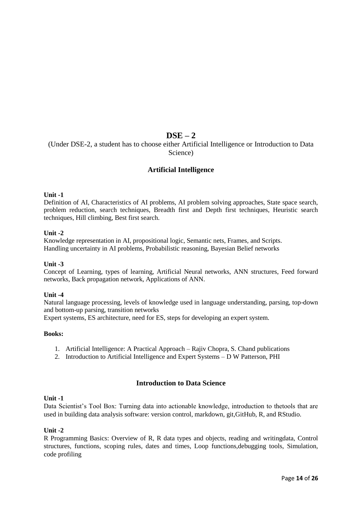# **DSE – 2**

(Under DSE-2, a student has to choose either Artificial Intelligence or Introduction to Data Science)

## **Artificial Intelligence**

## **Unit -1**

Definition of AI, Characteristics of AI problems, AI problem solving approaches, State space search, problem reduction, search techniques, Breadth first and Depth first techniques, Heuristic search techniques, Hill climbing, Best first search.

## **Unit -2**

Knowledge representation in AI, propositional logic, Semantic nets, Frames, and Scripts. Handling uncertainty in AI problems, Probabilistic reasoning, Bayesian Belief networks

### **Unit -3**

Concept of Learning, types of learning, Artificial Neural networks, ANN structures, Feed forward networks, Back propagation network, Applications of ANN.

### **Unit -4**

Natural language processing, levels of knowledge used in language understanding, parsing, top-down and bottom-up parsing, transition networks

Expert systems, ES architecture, need for ES, steps for developing an expert system.

### **Books:**

- 1. Artificial Intelligence: A Practical Approach Rajiv Chopra, S. Chand publications
- 2. Introduction to Artificial Intelligence and Expert Systems D W Patterson, PHI

# **Introduction to Data Science**

### **Unit -1**

Data Scientist's Tool Box: Turning data into actionable knowledge, introduction to thetools that are used in building data analysis software: version control, markdown, git,GitHub, R, and RStudio.

### **Unit -2**

R Programming Basics: Overview of R, R data types and objects, reading and writingdata, Control structures, functions, scoping rules, dates and times, Loop functions,debugging tools, Simulation, code profiling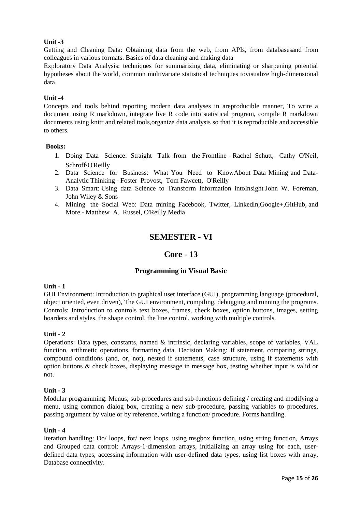## **Unit -3**

Getting and Cleaning Data: Obtaining data from the web, from APIs, from databasesand from colleagues in various formats. Basics of data cleaning and making data

Exploratory Data Analysis: techniques for summarizing data, eliminating or sharpening potential hypotheses about the world, common multivariate statistical techniques tovisualize high-dimensional data.

## **Unit -4**

Concepts and tools behind reporting modern data analyses in areproducible manner, To write a document using R markdown, integrate live R code into statistical program, compile R markdown documents using knitr and related tools,organize data analysis so that it is reproducible and accessible to others.

### **Books:**

- 1. Doing Data Science: Straight Talk from the Frontline Rachel Schutt, Cathy O'Neil, Schroff/O'Reilly
- 2. Data Science for Business: What You Need to KnowAbout Data Mining and Data-Analytic Thinking - Foster Provost, Tom Fawcett, O'Reilly
- 3. Data Smart: Using data Science to Transform Information intoInsight John W. Foreman, John Wiley & Sons
- 4. Mining the Social Web: Data mining Facebook, Twitter, Linkedln,Google+,GitHub, and More - Matthew A. Russel, O'Reilly Media

# **SEMESTER - VI**

## **Core - 13**

## **Programming in Visual Basic**

### **Unit - 1**

GUI Environment: Introduction to graphical user interface (GUI), programming language (procedural, object oriented, even driven), The GUI environment, compiling, debugging and running the programs. Controls: Introduction to controls text boxes, frames, check boxes, option buttons, images, setting boarders and styles, the shape control, the line control, working with multiple controls.

### **Unit - 2**

Operations: Data types, constants, named & intrinsic, declaring variables, scope of variables, VAL function, arithmetic operations, formatting data. Decision Making: If statement, comparing strings, compound conditions (and, or, not), nested if statements, case structure, using if statements with option buttons & check boxes, displaying message in message box, testing whether input is valid or not.

#### **Unit - 3**

Modular programming: Menus, sub-procedures and sub-functions defining / creating and modifying a menu, using common dialog box, creating a new sub-procedure, passing variables to procedures, passing argument by value or by reference, writing a function/ procedure. Forms handling.

#### **Unit - 4**

Iteration handling: Do/ loops, for/ next loops, using msgbox function, using string function, Arrays and Grouped data control: Arrays-1-dimension arrays, initializing an array using for each, userdefined data types, accessing information with user-defined data types, using list boxes with array, Database connectivity.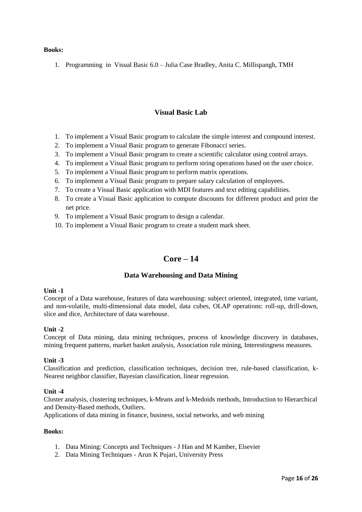### **Books:**

1. Programming in Visual Basic 6.0 – Julia Case Bradley, Anita C. Millispangh, TMH

## **Visual Basic Lab**

- 1. To implement a Visual Basic program to calculate the simple interest and compound interest.
- 2. To implement a Visual Basic program to generate Fibonacci series.
- 3. To implement a Visual Basic program to create a scientific calculator using control arrays.
- 4. To implement a Visual Basic program to perform string operations based on the user choice.
- 5. To implement a Visual Basic program to perform matrix operations.
- 6. To implement a Visual Basic program to prepare salary calculation of employees.
- 7. To create a Visual Basic application with MDI features and text editing capabilities.
- 8. To create a Visual Basic application to compute discounts for different product and print the net price.
- 9. To implement a Visual Basic program to design a calendar.
- 10. To implement a Visual Basic program to create a student mark sheet.

# **Core – 14**

### **Data Warehousing and Data Mining**

#### **Unit -1**

Concept of a Data warehouse, features of data warehousing: subject oriented, integrated, time variant, and non-volatile, multi-dimensional data model, data cubes, OLAP operations: roll-up, drill-down, slice and dice, Architecture of data warehouse.

### **Unit -2**

Concept of Data mining, data mining techniques, process of knowledge discovery in databases, mining frequent patterns, market basket analysis, Association rule mining, Interestingness measures.

#### **Unit -3**

Classification and prediction, classification techniques, decision tree, rule-based classification, k-Nearest neighbor classifier, Bayesian classification, linear regression.

#### **Unit -4**

Cluster analysis, clustering techniques, k-Means and k-Medoids methods, Introduction to Hierarchical and Density-Based methods, Outliers.

Applications of data mining in finance, business, social networks, and web mining

- 1. Data Mining: Concepts and Techniques J Han and M Kamber, Elsevier
- 2. Data Mining Techniques Arun K Pujari, University Press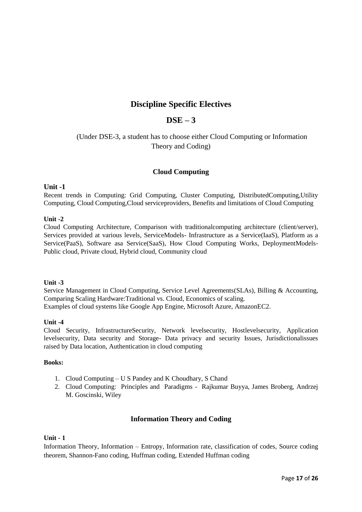# **Discipline Specific Electives**

# **DSE – 3**

# (Under DSE-3, a student has to choose either Cloud Computing or Information Theory and Coding)

## **Cloud Computing**

## **Unit -1**

Recent trends in Computing: Grid Computing, Cluster Computing, DistributedComputing,Utility Computing, Cloud Computing,Cloud serviceproviders, Benefits and limitations of Cloud Computing

## **Unit -2**

Cloud Computing Architecture, Comparison with traditionalcomputing architecture (client/server), Services provided at various levels, ServiceModels- Infrastructure as a Service(IaaS), Platform as a Service(PaaS), Software asa Service(SaaS), How Cloud Computing Works, DeploymentModels-Public cloud, Private cloud, Hybrid cloud, Community cloud

### **Unit -3**

Service Management in Cloud Computing, Service Level Agreements(SLAs), Billing & Accounting, Comparing Scaling Hardware:Traditional vs. Cloud, Economics of scaling. Examples of cloud systems like Google App Engine, Microsoft Azure, AmazonEC2.

### **Unit -4**

Cloud Security, InfrastructureSecurity, Network levelsecurity, Hostlevelsecurity, Application levelsecurity, Data security and Storage- Data privacy and security Issues, Jurisdictionalissues raised by Data location, Authentication in cloud computing

## **Books:**

- 1. Cloud Computing U S Pandey and K Choudhary, S Chand
- 2. Cloud Computing: Principles and Paradigms Rajkumar Buyya, James Broberg, Andrzej M. Goscinski, Wiley

## **Information Theory and Coding**

### **Unit - 1**

Information Theory, Information – Entropy, Information rate, classification of codes, Source coding theorem, Shannon-Fano coding, Huffman coding, Extended Huffman coding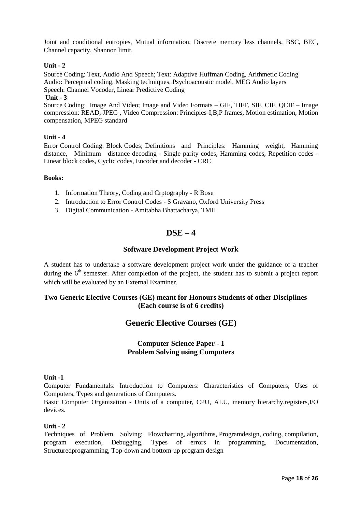Joint and conditional entropies, Mutual information, Discrete memory less channels, BSC, BEC, Channel capacity, Shannon limit.

### **Unit - 2**

Source Coding: Text, Audio And Speech; Text: Adaptive Huffman Coding, Arithmetic Coding Audio: Perceptual coding, Masking techniques, Psychoacoustic model, MEG Audio layers Speech: Channel Vocoder, Linear Predictive Coding

### **Unit - 3**

Source Coding: Image And Video; Image and Video Formats – GIF, TIFF, SIF, CIF, QCIF – Image compression: READ, JPEG , Video Compression: Principles-I,B,P frames, Motion estimation, Motion compensation, MPEG standard

### **Unit - 4**

Error Control Coding: Block Codes; Definitions and Principles: Hamming weight, Hamming distance, Minimum distance decoding - Single parity codes, Hamming codes, Repetition codes - Linear block codes, Cyclic codes, Encoder and decoder - CRC

#### **Books:**

- 1. Information Theory, Coding and Crptography R Bose
- 2. Introduction to Error Control Codes S Gravano, Oxford University Press
- 3. Digital Communication Amitabha Bhattacharya, TMH

# **DSE – 4**

## **Software Development Project Work**

A student has to undertake a software development project work under the guidance of a teacher during the  $6<sup>th</sup>$  semester. After completion of the project, the student has to submit a project report which will be evaluated by an External Examiner.

## **Two Generic Elective Courses (GE) meant for Honours Students of other Disciplines (Each course is of 6 credits)**

# **Generic Elective Courses (GE)**

## **Computer Science Paper - 1 Problem Solving using Computers**

### **Unit -1**

Computer Fundamentals: Introduction to Computers: Characteristics of Computers, Uses of Computers, Types and generations of Computers.

Basic Computer Organization - Units of a computer, CPU, ALU, memory hierarchy,registers,I/O devices.

### **Unit - 2**

Techniques of Problem Solving: Flowcharting, algorithms, Programdesign, coding, compilation, program execution, Debugging, Types of errors in programming, Documentation, Structuredprogramming, Top-down and bottom-up program design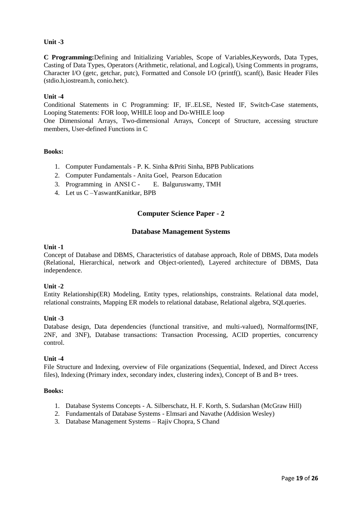## **Unit -3**

**C Programming:**Defining and Initializing Variables, Scope of Variables,Keywords, Data Types, Casting of Data Types, Operators (Arithmetic, relational, and Logical), Using Comments in programs, Character I/O (getc, getchar, putc), Formatted and Console I/O (printf(), scanf(), Basic Header Files (stdio.h,iostream.h, conio.hetc).

### **Unit -4**

Conditional Statements in C Programming: IF, IF..ELSE, Nested IF, Switch-Case statements, Looping Statements: FOR loop, WHILE loop and Do-WHILE loop

One Dimensional Arrays, Two-dimensional Arrays, Concept of Structure, accessing structure members, User-defined Functions in C

### **Books:**

- 1. Computer Fundamentals P. K. Sinha &Priti Sinha, BPB Publications
- 2. Computer Fundamentals Anita Goel, Pearson Education
- 3. Programming in ANSI C E. Balguruswamy, TMH
- 4. Let us C –YaswantKanitkar, BPB

## **Computer Science Paper - 2**

### **Database Management Systems**

#### **Unit -1**

Concept of Database and DBMS, Characteristics of database approach, Role of DBMS, Data models (Relational, Hierarchical, network and Object-oriented), Layered architecture of DBMS, Data independence.

### **Unit -2**

Entity Relationship(ER) Modeling, Entity types, relationships, constraints. Relational data model, relational constraints, Mapping ER models to relational database, Relational algebra, SQLqueries.

### **Unit -3**

Database design, Data dependencies (functional transitive, and multi-valued), Normalforms(INF, 2NF, and 3NF), Database transactions: Transaction Processing, ACID properties, concurrency control.

### **Unit -4**

File Structure and Indexing, overview of File organizations (Sequential, Indexed, and Direct Access files), Indexing (Primary index, secondary index, clustering index), Concept of B and B+ trees.

- 1. Database Systems Concepts A. Silberschatz, H. F. Korth, S. Sudarshan (McGraw Hill)
- 2. Fundamentals of Database Systems Elmsari and Navathe (Addision Wesley)
- 3. Database Management Systems Rajiv Chopra, S Chand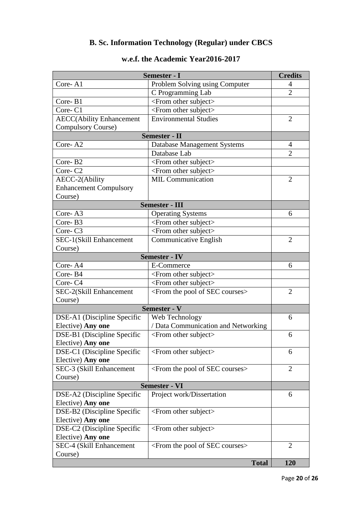# **B. Sc. Information Technology (Regular) under CBCS**

| <b>Semester - I</b>                              |                                                      | <b>Credits</b> |
|--------------------------------------------------|------------------------------------------------------|----------------|
| Core-A1                                          | Problem Solving using Computer                       | 4              |
|                                                  | C Programming Lab                                    | $\overline{2}$ |
| Core-B1                                          | <from other="" subject=""></from>                    |                |
| Core-C1                                          | <from other="" subject=""></from>                    |                |
| <b>AECC(Ability Enhancement</b>                  | <b>Environmental Studies</b>                         | $\overline{2}$ |
| <b>Compulsory Course)</b>                        |                                                      |                |
| <b>Semester - II</b>                             |                                                      |                |
| Core-A2                                          | <b>Database Management Systems</b>                   | $\overline{4}$ |
|                                                  | Database Lab                                         | $\overline{2}$ |
| Core-B2                                          | <from other="" subject=""></from>                    |                |
| Core-C <sub>2</sub>                              | <from other="" subject=""></from>                    |                |
| AECC-2(Ability                                   | <b>MIL Communication</b>                             | $\overline{2}$ |
| <b>Enhancement Compulsory</b>                    |                                                      |                |
| Course)                                          |                                                      |                |
|                                                  | <b>Semester - III</b>                                |                |
| Core-A3                                          | <b>Operating Systems</b>                             | 6              |
| Core-B3                                          | <from other="" subject=""></from>                    |                |
| Core-C <sub>3</sub>                              | <from other="" subject=""></from>                    |                |
| SEC-1(Skill Enhancement                          | Communicative English                                | $\overline{2}$ |
| Course)                                          |                                                      |                |
|                                                  | <b>Semester - IV</b>                                 |                |
| Core-A4                                          | E-Commerce                                           | 6              |
| Core-B4                                          | <from other="" subject=""></from>                    |                |
| Core-C4                                          | <from other="" subject=""></from>                    |                |
| SEC-2(Skill Enhancement                          | <from courses="" of="" pool="" sec="" the=""></from> | $\overline{2}$ |
| Course)                                          |                                                      |                |
| Semester - V                                     |                                                      |                |
| DSE-A1 (Discipline Specific                      | Web Technology                                       | 6              |
| Elective) Any one                                | / Data Communication and Networking                  |                |
| DSE-B1 (Discipline Specific                      | $\le$ From other subject $>$                         | 6              |
| Elective) Any one                                |                                                      |                |
| DSE-C1 (Discipline Specific                      | <from other="" subject=""></from>                    | 6              |
| Elective) Any one                                |                                                      |                |
| SEC-3 (Skill Enhancement                         | <from courses="" of="" pool="" sec="" the=""></from> | $\overline{2}$ |
| Course)                                          |                                                      |                |
| <b>Semester - VI</b>                             |                                                      |                |
| DSE-A2 (Discipline Specific                      | Project work/Dissertation                            | 6              |
| Elective) Any one                                |                                                      |                |
| DSE-B2 (Discipline Specific                      | <from other="" subject=""></from>                    |                |
| Elective) Any one                                |                                                      |                |
| DSE-C2 (Discipline Specific<br>Elective) Any one | $\le$ From other subject $>$                         |                |
|                                                  |                                                      | 2              |
| SEC-4 (Skill Enhancement<br>Course)              | <from courses="" of="" pool="" sec="" the=""></from> |                |
|                                                  | <b>Total</b>                                         | 120            |

# **w.e.f. the Academic Year2016-2017**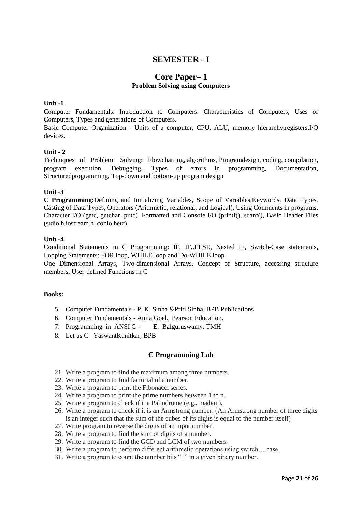# **SEMESTER - I**

## **Core Paper– 1 Problem Solving using Computers**

## **Unit -1**

Computer Fundamentals: Introduction to Computers: Characteristics of Computers, Uses of Computers, Types and generations of Computers.

Basic Computer Organization - Units of a computer, CPU, ALU, memory hierarchy,registers,I/O devices.

### **Unit - 2**

Techniques of Problem Solving: Flowcharting, algorithms, Programdesign, coding, compilation, program execution, Debugging, Types of errors in programming, Documentation, Structuredprogramming, Top-down and bottom-up program design

#### **Unit -3**

**C Programming:**Defining and Initializing Variables, Scope of Variables,Keywords, Data Types, Casting of Data Types, Operators (Arithmetic, relational, and Logical), Using Comments in programs, Character I/O (getc, getchar, putc), Formatted and Console I/O (printf(), scanf(), Basic Header Files (stdio.h,iostream.h, conio.hetc).

#### **Unit -4**

Conditional Statements in C Programming: IF, IF..ELSE, Nested IF, Switch-Case statements, Looping Statements: FOR loop, WHILE loop and Do-WHILE loop

One Dimensional Arrays, Two-dimensional Arrays, Concept of Structure, accessing structure members, User-defined Functions in C

### **Books:**

- 5. Computer Fundamentals P. K. Sinha &Priti Sinha, BPB Publications
- 6. Computer Fundamentals Anita Goel, Pearson Education.
- 7. Programming in ANSI C E. Balguruswamy, TMH
- 8. Let us C –YaswantKanitkar, BPB

### **C Programming Lab**

- 21. Write a program to find the maximum among three numbers.
- 22. Write a program to find factorial of a number.
- 23. Write a program to print the Fibonacci series.
- 24. Write a program to print the prime numbers between 1 to n.
- 25. Write a program to check if it a Palindrome (e.g., madam).
- 26. Write a program to check if it is an Armstrong number. (An Armstrong number of three digits is an integer such that the sum of the cubes of its digits is equal to the number itself)
- 27. Write program to reverse the digits of an input number.
- 28. Write a program to find the sum of digits of a number.
- 29. Write a program to find the GCD and LCM of two numbers.
- 30. Write a program to perform different arithmetic operations using switch….case.
- 31. Write a program to count the number bits  $1$ " in a given binary number.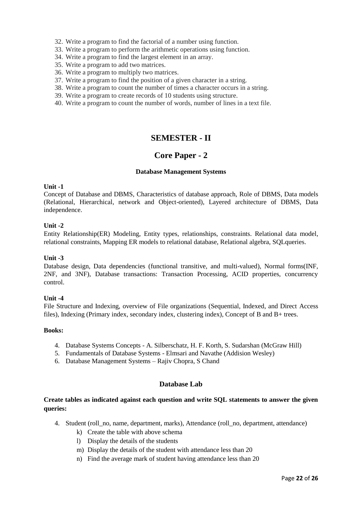32. Write a program to find the factorial of a number using function.

- 33. Write a program to perform the arithmetic operations using function.
- 34. Write a program to find the largest element in an array.
- 35. Write a program to add two matrices.
- 36. Write a program to multiply two matrices.
- 37. Write a program to find the position of a given character in a string.
- 38. Write a program to count the number of times a character occurs in a string.
- 39. Write a program to create records of 10 students using structure.
- 40. Write a program to count the number of words, number of lines in a text file.

# **SEMESTER - II**

# **Core Paper - 2**

## **Database Management Systems**

#### **Unit -1**

Concept of Database and DBMS, Characteristics of database approach, Role of DBMS, Data models (Relational, Hierarchical, network and Object-oriented), Layered architecture of DBMS, Data independence.

### **Unit -2**

Entity Relationship(ER) Modeling, Entity types, relationships, constraints. Relational data model, relational constraints, Mapping ER models to relational database, Relational algebra, SQLqueries.

### **Unit -3**

Database design, Data dependencies (functional transitive, and multi-valued), Normal forms(INF, 2NF, and 3NF), Database transactions: Transaction Processing, ACID properties, concurrency control.

### **Unit -4**

File Structure and Indexing, overview of File organizations (Sequential, Indexed, and Direct Access files), Indexing (Primary index, secondary index, clustering index), Concept of B and B+ trees.

### **Books:**

- 4. Database Systems Concepts A. Silberschatz, H. F. Korth, S. Sudarshan (McGraw Hill)
- 5. Fundamentals of Database Systems Elmsari and Navathe (Addision Wesley)
- 6. Database Management Systems Rajiv Chopra, S Chand

## **Database Lab**

## **Create tables as indicated against each question and write SQL statements to answer the given queries:**

- 4. Student (roll\_no, name, department, marks), Attendance (roll\_no, department, attendance)
	- k) Create the table with above schema
	- l) Display the details of the students
	- m) Display the details of the student with attendance less than 20
	- n) Find the average mark of student having attendance less than 20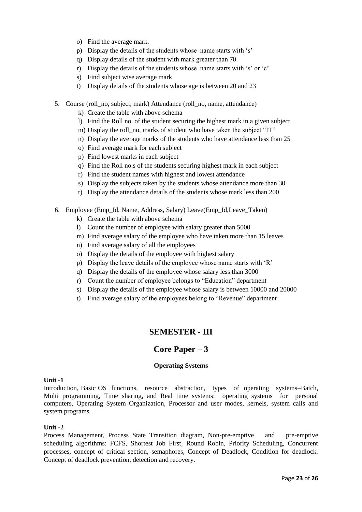- o) Find the average mark.
- p) Display the details of the students whose name starts with 's'
- q) Display details of the student with mark greater than 70
- r) Display the details of the students whose name starts with 's' or 'c'
- s) Find subject wise average mark
- t) Display details of the students whose age is between 20 and 23
- 5. Course (roll\_no, subject, mark) Attendance (roll\_no, name, attendance)
	- k) Create the table with above schema
	- l) Find the Roll no. of the student securing the highest mark in a given subject
	- m) Display the roll no, marks of student who have taken the subject "IT"
	- n) Display the average marks of the students who have attendance less than 25
	- o) Find average mark for each subject
	- p) Find lowest marks in each subject
	- q) Find the Roll no.s of the students securing highest mark in each subject
	- r) Find the student names with highest and lowest attendance
	- s) Display the subjects taken by the students whose attendance more than 30
	- t) Display the attendance details of the students whose mark less than 200
- 6. Employee (Emp\_Id, Name, Address, Salary) Leave(Emp\_Id,Leave\_Taken)
	- k) Create the table with above schema
	- l) Count the number of employee with salary greater than 5000
	- m) Find average salary of the employee who have taken more than 15 leaves
	- n) Find average salary of all the employees
	- o) Display the details of the employee with highest salary
	- p) Display the leave details of the employee whose name starts with ‗R'
	- q) Display the details of the employee whose salary less than 3000
	- r) Count the number of employee belongs to "Education" department
	- s) Display the details of the employee whose salary is between 10000 and 20000
	- t) Find average salary of the employees belong to "Revenue" department

# **SEMESTER - III**

# **Core Paper – 3**

### **Operating Systems**

### **Unit -1**

Introduction, Basic OS functions, resource abstraction, types of operating systems–Batch, Multi programming, Time sharing, and Real time systems; operating systems for personal computers, Operating System Organization, Processor and user modes, kernels, system calls and system programs.

### **Unit -2**

Process Management, Process State Transition diagram, Non-pre-emptive and pre-emptive scheduling algorithms: FCFS, Shortest Job First, Round Robin, Priority Scheduling, Concurrent processes, concept of critical section, semaphores, Concept of Deadlock, Condition for deadlock. Concept of deadlock prevention, detection and recovery.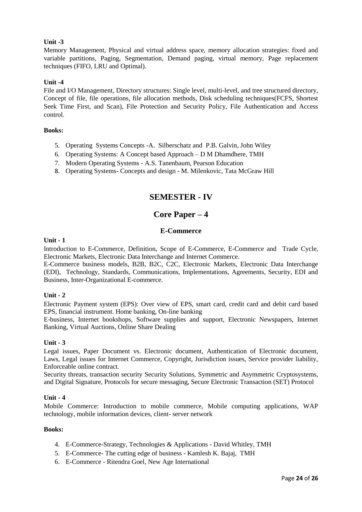## **Unit -3**

Memory Management, Physical and virtual address space, memory allocation strategies: fixed and variable partitions, Paging, Segmentation, Demand paging, virtual memory, Page replacement techniques (FIFO, LRU and Optimal).

## **Unit -4**

File and I/O Management, Directory structures: Single level, multi-level, and tree structured directory, Concept of file, file operations, file allocation methods, Disk scheduling techniques(FCFS, Shortest Seek Time First, and Scan), File Protection and Security Policy, File Authentication and Access control.

### **Books:**

- 5. Operating Systems Concepts -A. Silberschatz and P.B. Galvin, John Wiley
- 6. Operating Systems: A Concept based Approach D M Dhamdhere, TMH
- 7. Modern Operating Systems A.S. Tanenbaum, Pearson Education
- 8. Operating Systems- Concepts and design M. Milenkovic, Tata McGraw Hill

# **SEMESTER - IV**

# **Core Paper – 4**

## **E-Commerce**

### **Unit - 1**

Introduction to E-Commerce, Definition, Scope of E-Commerce, E-Commerce and Trade Cycle, Electronic Markets, Electronic Data Interchange and Internet Commerce.

E-Commerce business models, B2B, B2C, C2C, Electronic Markets, Electronic Data Interchange (EDI), Technology, Standards, Communications, Implementations, Agreements, Security, EDI and Business, Inter-Organizational E-commerce.

### **Unit - 2**

Electronic Payment system (EPS): Over view of EPS, smart card, credit card and debit card based EPS, financial instrument. Home banking, On-line banking

E-business, Internet bookshops, Software supplies and support, Electronic Newspapers, Internet Banking, Virtual Auctions, Online Share Dealing

### **Unit - 3**

Legal issues, Paper Document vs. Electronic document, Authentication of Electronic document, Laws, Legal issues for Internet Commerce, Copyright, Jurisdiction issues, Service provider liability, Enforceable online contract.

Security threats, transaction security Security Solutions, Symmetric and Asymmetric Cryptosystems, and Digital Signature, Protocols for secure messaging, Secure Electronic Transaction (SET) Protocol

### **Unit - 4**

Mobile Commerce: Introduction to mobile commerce, Mobile computing applications, WAP technology, mobile information devices, client- server network

- 4. E-Commerce-Strategy, Technologies & Applications David Whitley, TMH
- 5. E-Commerce- The cutting edge of business Kamlesh K. Bajaj, TMH
- 6. E-Commerce Ritendra Goel, New Age International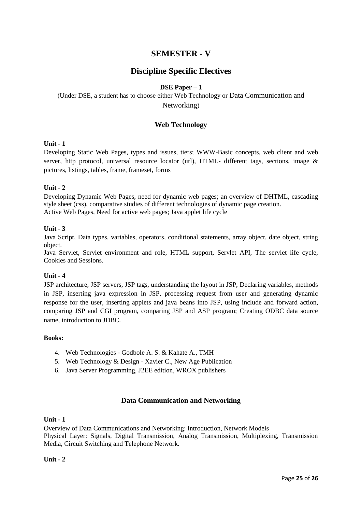# **SEMESTER - V**

# **Discipline Specific Electives**

## **DSE Paper – 1**

# (Under DSE, a student has to choose either Web Technology or Data Communication and Networking)

## **Web Technology**

#### **Unit - 1**

Developing Static Web Pages, types and issues, tiers; WWW-Basic concepts, web client and web server, http protocol, universal resource locator (url), HTML- different tags, sections, image & pictures, listings, tables, frame, frameset, forms

#### **Unit - 2**

Developing Dynamic Web Pages, need for dynamic web pages; an overview of DHTML, cascading style sheet (css), comparative studies of different technologies of dynamic page creation. Active Web Pages, Need for active web pages; Java applet life cycle

#### **Unit - 3**

Java Script, Data types, variables, operators, conditional statements, array object, date object, string object.

Java Servlet, Servlet environment and role, HTML support, Servlet API, The servlet life cycle, Cookies and Sessions.

### **Unit - 4**

JSP architecture, JSP servers, JSP tags, understanding the layout in JSP, Declaring variables, methods in JSP, inserting java expression in JSP, processing request from user and generating dynamic response for the user, inserting applets and java beans into JSP, using include and forward action, comparing JSP and CGI program, comparing JSP and ASP program; Creating ODBC data source name, introduction to JDBC.

### **Books:**

- 4. Web Technologies Godbole A. S. & Kahate A., TMH
- 5. Web Technology & Design Xavier C., New Age Publication
- 6. Java Server Programming, J2EE edition, WROX publishers

### **Data Communication and Networking**

#### **Unit - 1**

Overview of Data Communications and Networking: Introduction, Network Models Physical Layer: Signals, Digital Transmission, Analog Transmission, Multiplexing, Transmission Media, Circuit Switching and Telephone Network.

#### **Unit - 2**